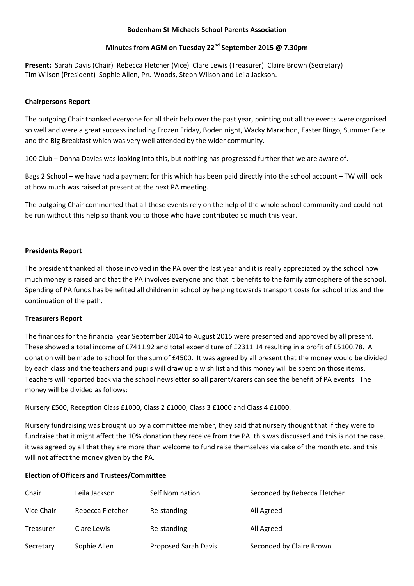#### **Bodenham St Michaels School Parents Association**

# **Minutes from AGM on Tuesday 22nd September 2015 @ 7.30pm**

Present: Sarah Davis (Chair) Rebecca Fletcher (Vice) Clare Lewis (Treasurer) Claire Brown (Secretary) Tim Wilson (President) Sophie Allen, Pru Woods, Steph Wilson and Leila Jackson.

### **Chairpersons Report**

The outgoing Chair thanked everyone for all their help over the past year, pointing out all the events were organised so well and were a great success including Frozen Friday, Boden night, Wacky Marathon, Easter Bingo, Summer Fete and the Big Breakfast which was very well attended by the wider community.

100 Club – Donna Davies was looking into this, but nothing has progressed further that we are aware of.

Bags 2 School – we have had a payment for this which has been paid directly into the school account – TW will look at how much was raised at present at the next PA meeting.

The outgoing Chair commented that all these events rely on the help of the whole school community and could not be run without this help so thank you to those who have contributed so much this year.

### **Presidents Report**

The president thanked all those involved in the PA over the last year and it is really appreciated by the school how much money is raised and that the PA involves everyone and that it benefits to the family atmosphere of the school. Spending of PA funds has benefited all children in school by helping towards transport costs for school trips and the continuation of the path.

## **Treasurers Report**

The finances for the financial year September 2014 to August 2015 were presented and approved by all present. These showed a total income of £7411.92 and total expenditure of £2311.14 resulting in a profit of £5100.78. A donation will be made to school for the sum of £4500. It was agreed by all present that the money would be divided by each class and the teachers and pupils will draw up a wish list and this money will be spent on those items. Teachers will reported back via the school newsletter so all parent/carers can see the benefit of PA events. The money will be divided as follows:

Nursery £500, Reception Class £1000, Class 2 £1000, Class 3 £1000 and Class 4 £1000.

Nursery fundraising was brought up by a committee member, they said that nursery thought that if they were to fundraise that it might affect the 10% donation they receive from the PA, this was discussed and this is not the case, it was agreed by all that they are more than welcome to fund raise themselves via cake of the month etc. and this will not affect the money given by the PA.

## **Election of Officers and Trustees/Committee**

| Chair      | Leila Jackson    | <b>Self Nomination</b> | Seconded by Rebecca Fletcher |
|------------|------------------|------------------------|------------------------------|
| Vice Chair | Rebecca Fletcher | Re-standing            | All Agreed                   |
| Treasurer  | Clare Lewis      | Re-standing            | All Agreed                   |
| Secretary  | Sophie Allen     | Proposed Sarah Davis   | Seconded by Claire Brown     |